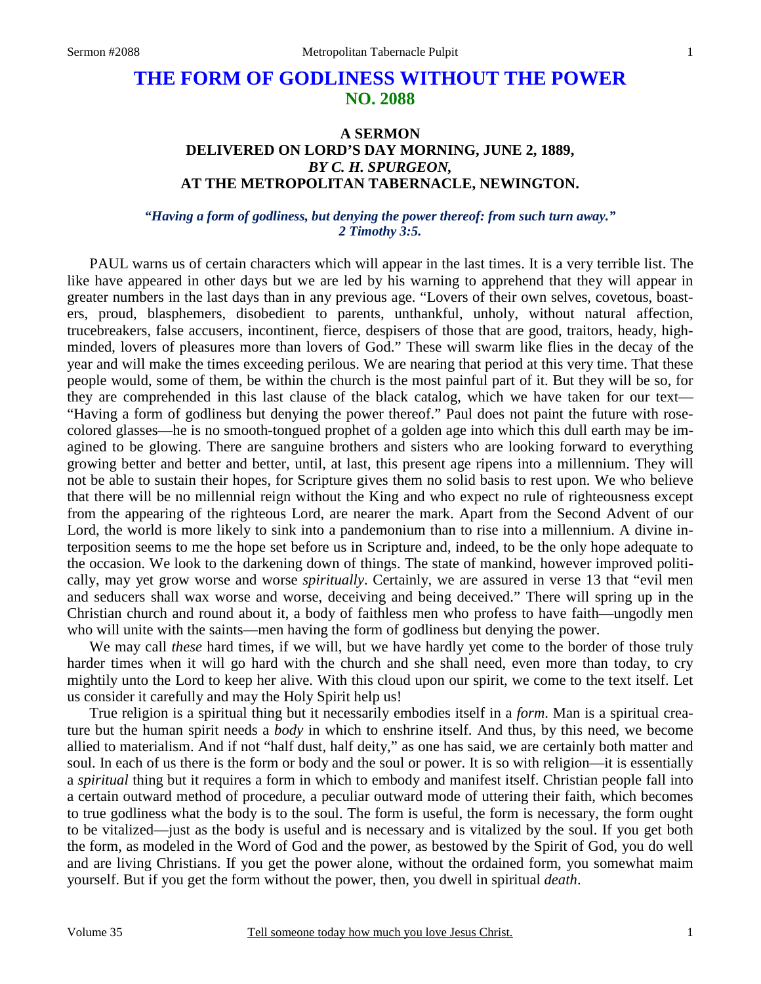## **THE FORM OF GODLINESS WITHOUT THE POWER NO. 2088**

## **A SERMON DELIVERED ON LORD'S DAY MORNING, JUNE 2, 1889,**  *BY C. H. SPURGEON,*  **AT THE METROPOLITAN TABERNACLE, NEWINGTON.**

## *"Having a form of godliness, but denying the power thereof: from such turn away." 2 Timothy 3:5.*

PAUL warns us of certain characters which will appear in the last times. It is a very terrible list. The like have appeared in other days but we are led by his warning to apprehend that they will appear in greater numbers in the last days than in any previous age. "Lovers of their own selves, covetous, boasters, proud, blasphemers, disobedient to parents, unthankful, unholy, without natural affection, trucebreakers, false accusers, incontinent, fierce, despisers of those that are good, traitors, heady, highminded, lovers of pleasures more than lovers of God." These will swarm like flies in the decay of the year and will make the times exceeding perilous. We are nearing that period at this very time. That these people would, some of them, be within the church is the most painful part of it. But they will be so, for they are comprehended in this last clause of the black catalog, which we have taken for our text— "Having a form of godliness but denying the power thereof." Paul does not paint the future with rosecolored glasses—he is no smooth-tongued prophet of a golden age into which this dull earth may be imagined to be glowing. There are sanguine brothers and sisters who are looking forward to everything growing better and better and better, until, at last, this present age ripens into a millennium. They will not be able to sustain their hopes, for Scripture gives them no solid basis to rest upon. We who believe that there will be no millennial reign without the King and who expect no rule of righteousness except from the appearing of the righteous Lord, are nearer the mark. Apart from the Second Advent of our Lord, the world is more likely to sink into a pandemonium than to rise into a millennium. A divine interposition seems to me the hope set before us in Scripture and, indeed, to be the only hope adequate to the occasion. We look to the darkening down of things. The state of mankind, however improved politically, may yet grow worse and worse *spiritually*. Certainly, we are assured in verse 13 that "evil men and seducers shall wax worse and worse, deceiving and being deceived." There will spring up in the Christian church and round about it, a body of faithless men who profess to have faith—ungodly men who will unite with the saints—men having the form of godliness but denying the power.

We may call *these* hard times, if we will, but we have hardly yet come to the border of those truly harder times when it will go hard with the church and she shall need, even more than today, to cry mightily unto the Lord to keep her alive. With this cloud upon our spirit, we come to the text itself. Let us consider it carefully and may the Holy Spirit help us!

True religion is a spiritual thing but it necessarily embodies itself in a *form*. Man is a spiritual creature but the human spirit needs a *body* in which to enshrine itself. And thus, by this need, we become allied to materialism. And if not "half dust, half deity," as one has said, we are certainly both matter and soul. In each of us there is the form or body and the soul or power. It is so with religion—it is essentially a *spiritual* thing but it requires a form in which to embody and manifest itself. Christian people fall into a certain outward method of procedure, a peculiar outward mode of uttering their faith, which becomes to true godliness what the body is to the soul. The form is useful, the form is necessary, the form ought to be vitalized—just as the body is useful and is necessary and is vitalized by the soul. If you get both the form, as modeled in the Word of God and the power, as bestowed by the Spirit of God, you do well and are living Christians. If you get the power alone, without the ordained form, you somewhat maim yourself. But if you get the form without the power, then, you dwell in spiritual *death*.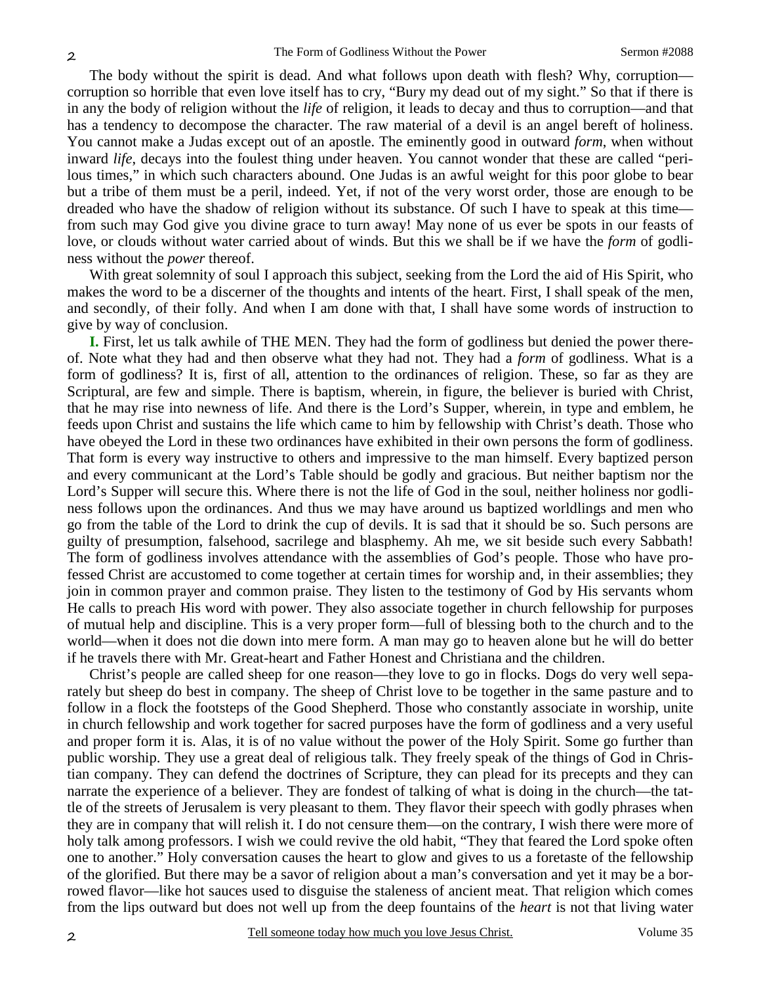The body without the spirit is dead. And what follows upon death with flesh? Why, corruption corruption so horrible that even love itself has to cry, "Bury my dead out of my sight." So that if there is in any the body of religion without the *life* of religion, it leads to decay and thus to corruption—and that has a tendency to decompose the character. The raw material of a devil is an angel bereft of holiness. You cannot make a Judas except out of an apostle. The eminently good in outward *form*, when without inward *life*, decays into the foulest thing under heaven. You cannot wonder that these are called "perilous times," in which such characters abound. One Judas is an awful weight for this poor globe to bear but a tribe of them must be a peril, indeed. Yet, if not of the very worst order, those are enough to be dreaded who have the shadow of religion without its substance. Of such I have to speak at this time from such may God give you divine grace to turn away! May none of us ever be spots in our feasts of love, or clouds without water carried about of winds. But this we shall be if we have the *form* of godliness without the *power* thereof.

 With great solemnity of soul I approach this subject, seeking from the Lord the aid of His Spirit, who makes the word to be a discerner of the thoughts and intents of the heart. First, I shall speak of the men, and secondly, of their folly. And when I am done with that, I shall have some words of instruction to give by way of conclusion.

**I.** First, let us talk awhile of THE MEN. They had the form of godliness but denied the power thereof. Note what they had and then observe what they had not. They had a *form* of godliness. What is a form of godliness? It is, first of all, attention to the ordinances of religion. These, so far as they are Scriptural, are few and simple. There is baptism, wherein, in figure, the believer is buried with Christ, that he may rise into newness of life. And there is the Lord's Supper, wherein, in type and emblem, he feeds upon Christ and sustains the life which came to him by fellowship with Christ's death. Those who have obeyed the Lord in these two ordinances have exhibited in their own persons the form of godliness. That form is every way instructive to others and impressive to the man himself. Every baptized person and every communicant at the Lord's Table should be godly and gracious. But neither baptism nor the Lord's Supper will secure this. Where there is not the life of God in the soul, neither holiness nor godliness follows upon the ordinances. And thus we may have around us baptized worldlings and men who go from the table of the Lord to drink the cup of devils. It is sad that it should be so. Such persons are guilty of presumption, falsehood, sacrilege and blasphemy. Ah me, we sit beside such every Sabbath! The form of godliness involves attendance with the assemblies of God's people. Those who have professed Christ are accustomed to come together at certain times for worship and, in their assemblies; they join in common prayer and common praise. They listen to the testimony of God by His servants whom He calls to preach His word with power. They also associate together in church fellowship for purposes of mutual help and discipline. This is a very proper form—full of blessing both to the church and to the world—when it does not die down into mere form. A man may go to heaven alone but he will do better if he travels there with Mr. Great-heart and Father Honest and Christiana and the children.

Christ's people are called sheep for one reason—they love to go in flocks. Dogs do very well separately but sheep do best in company. The sheep of Christ love to be together in the same pasture and to follow in a flock the footsteps of the Good Shepherd. Those who constantly associate in worship, unite in church fellowship and work together for sacred purposes have the form of godliness and a very useful and proper form it is. Alas, it is of no value without the power of the Holy Spirit. Some go further than public worship. They use a great deal of religious talk. They freely speak of the things of God in Christian company. They can defend the doctrines of Scripture, they can plead for its precepts and they can narrate the experience of a believer. They are fondest of talking of what is doing in the church—the tattle of the streets of Jerusalem is very pleasant to them. They flavor their speech with godly phrases when they are in company that will relish it. I do not censure them—on the contrary, I wish there were more of holy talk among professors. I wish we could revive the old habit, "They that feared the Lord spoke often one to another." Holy conversation causes the heart to glow and gives to us a foretaste of the fellowship of the glorified. But there may be a savor of religion about a man's conversation and yet it may be a borrowed flavor—like hot sauces used to disguise the staleness of ancient meat. That religion which comes from the lips outward but does not well up from the deep fountains of the *heart* is not that living water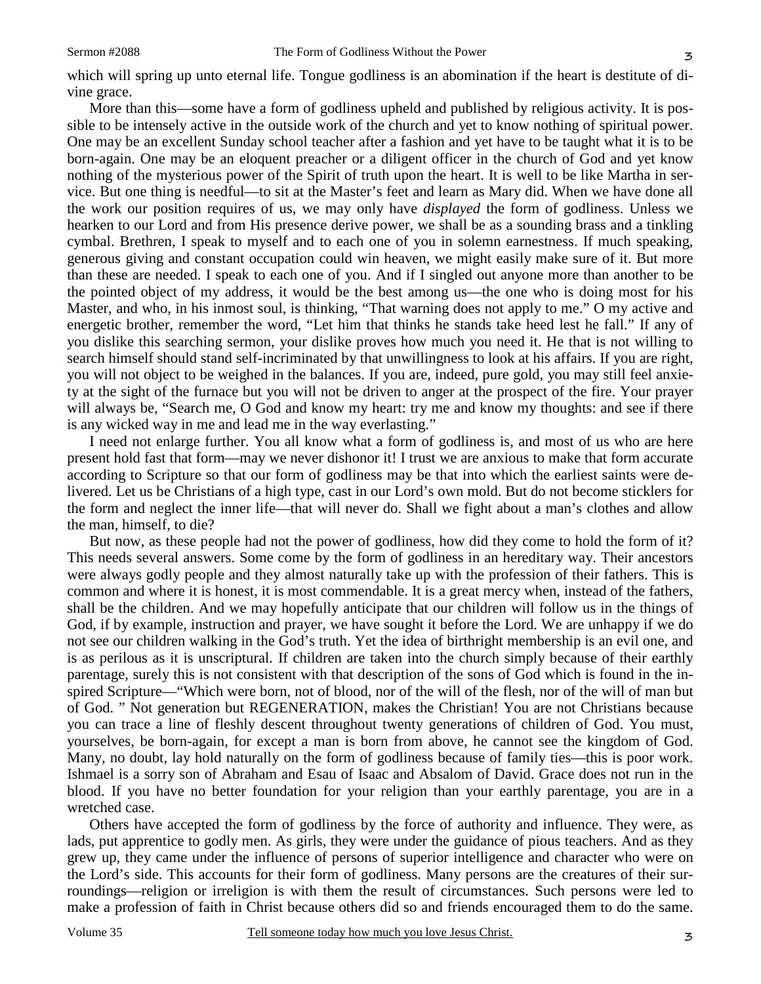More than this—some have a form of godliness upheld and published by religious activity. It is possible to be intensely active in the outside work of the church and yet to know nothing of spiritual power. One may be an excellent Sunday school teacher after a fashion and yet have to be taught what it is to be born-again. One may be an eloquent preacher or a diligent officer in the church of God and yet know nothing of the mysterious power of the Spirit of truth upon the heart. It is well to be like Martha in service. But one thing is needful—to sit at the Master's feet and learn as Mary did. When we have done all the work our position requires of us, we may only have *displayed* the form of godliness. Unless we hearken to our Lord and from His presence derive power, we shall be as a sounding brass and a tinkling cymbal. Brethren, I speak to myself and to each one of you in solemn earnestness. If much speaking, generous giving and constant occupation could win heaven, we might easily make sure of it. But more than these are needed. I speak to each one of you. And if I singled out anyone more than another to be the pointed object of my address, it would be the best among us—the one who is doing most for his Master, and who, in his inmost soul, is thinking, "That warning does not apply to me." O my active and energetic brother, remember the word, "Let him that thinks he stands take heed lest he fall." If any of you dislike this searching sermon, your dislike proves how much you need it. He that is not willing to search himself should stand self-incriminated by that unwillingness to look at his affairs. If you are right, you will not object to be weighed in the balances. If you are, indeed, pure gold, you may still feel anxiety at the sight of the furnace but you will not be driven to anger at the prospect of the fire. Your prayer will always be, "Search me, O God and know my heart: try me and know my thoughts: and see if there is any wicked way in me and lead me in the way everlasting."

I need not enlarge further. You all know what a form of godliness is, and most of us who are here present hold fast that form—may we never dishonor it! I trust we are anxious to make that form accurate according to Scripture so that our form of godliness may be that into which the earliest saints were delivered. Let us be Christians of a high type, cast in our Lord's own mold. But do not become sticklers for the form and neglect the inner life—that will never do. Shall we fight about a man's clothes and allow the man, himself, to die?

But now, as these people had not the power of godliness, how did they come to hold the form of it? This needs several answers. Some come by the form of godliness in an hereditary way. Their ancestors were always godly people and they almost naturally take up with the profession of their fathers. This is common and where it is honest, it is most commendable. It is a great mercy when, instead of the fathers, shall be the children. And we may hopefully anticipate that our children will follow us in the things of God, if by example, instruction and prayer, we have sought it before the Lord. We are unhappy if we do not see our children walking in the God's truth. Yet the idea of birthright membership is an evil one, and is as perilous as it is unscriptural. If children are taken into the church simply because of their earthly parentage, surely this is not consistent with that description of the sons of God which is found in the inspired Scripture—"Which were born, not of blood, nor of the will of the flesh, nor of the will of man but of God. " Not generation but REGENERATION, makes the Christian! You are not Christians because you can trace a line of fleshly descent throughout twenty generations of children of God. You must, yourselves, be born-again, for except a man is born from above, he cannot see the kingdom of God. Many, no doubt, lay hold naturally on the form of godliness because of family ties—this is poor work. Ishmael is a sorry son of Abraham and Esau of Isaac and Absalom of David. Grace does not run in the blood. If you have no better foundation for your religion than your earthly parentage, you are in a wretched case.

Others have accepted the form of godliness by the force of authority and influence. They were, as lads, put apprentice to godly men. As girls, they were under the guidance of pious teachers. And as they grew up, they came under the influence of persons of superior intelligence and character who were on the Lord's side. This accounts for their form of godliness. Many persons are the creatures of their surroundings—religion or irreligion is with them the result of circumstances. Such persons were led to make a profession of faith in Christ because others did so and friends encouraged them to do the same.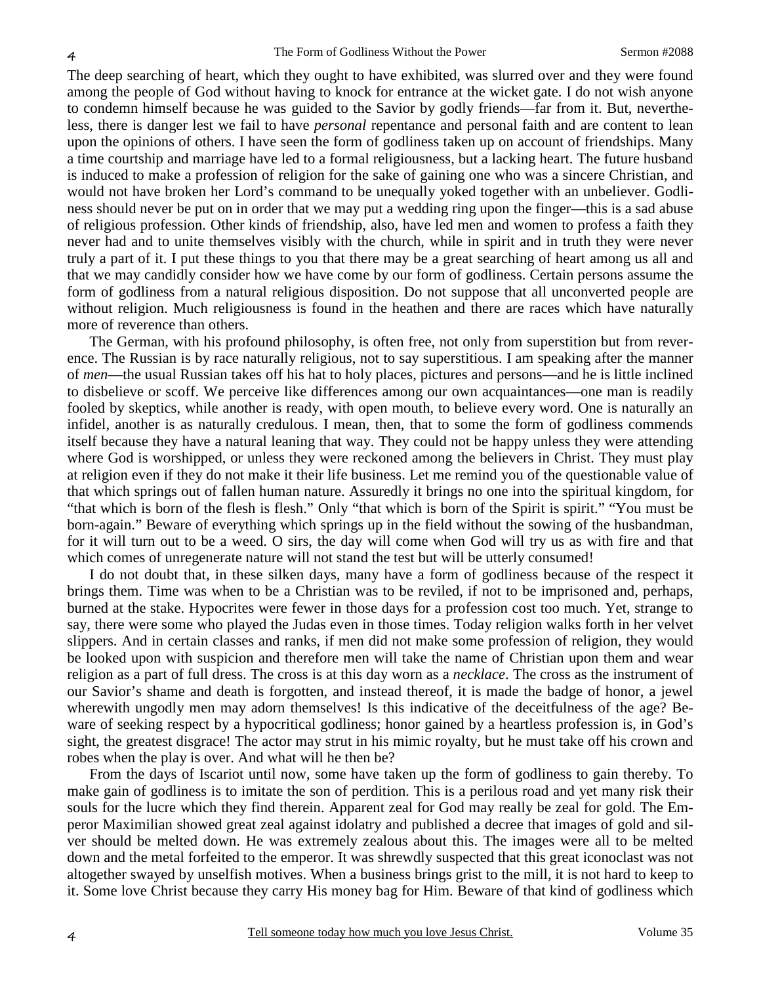The deep searching of heart, which they ought to have exhibited, was slurred over and they were found among the people of God without having to knock for entrance at the wicket gate. I do not wish anyone to condemn himself because he was guided to the Savior by godly friends—far from it. But, nevertheless, there is danger lest we fail to have *personal* repentance and personal faith and are content to lean upon the opinions of others. I have seen the form of godliness taken up on account of friendships. Many a time courtship and marriage have led to a formal religiousness, but a lacking heart. The future husband is induced to make a profession of religion for the sake of gaining one who was a sincere Christian, and would not have broken her Lord's command to be unequally yoked together with an unbeliever. Godliness should never be put on in order that we may put a wedding ring upon the finger—this is a sad abuse of religious profession. Other kinds of friendship, also, have led men and women to profess a faith they never had and to unite themselves visibly with the church, while in spirit and in truth they were never truly a part of it. I put these things to you that there may be a great searching of heart among us all and that we may candidly consider how we have come by our form of godliness. Certain persons assume the form of godliness from a natural religious disposition. Do not suppose that all unconverted people are without religion. Much religiousness is found in the heathen and there are races which have naturally more of reverence than others.

The German, with his profound philosophy, is often free, not only from superstition but from reverence. The Russian is by race naturally religious, not to say superstitious. I am speaking after the manner of *men*—the usual Russian takes off his hat to holy places, pictures and persons—and he is little inclined to disbelieve or scoff. We perceive like differences among our own acquaintances—one man is readily fooled by skeptics, while another is ready, with open mouth, to believe every word. One is naturally an infidel, another is as naturally credulous. I mean, then, that to some the form of godliness commends itself because they have a natural leaning that way. They could not be happy unless they were attending where God is worshipped, or unless they were reckoned among the believers in Christ. They must play at religion even if they do not make it their life business. Let me remind you of the questionable value of that which springs out of fallen human nature. Assuredly it brings no one into the spiritual kingdom, for "that which is born of the flesh is flesh." Only "that which is born of the Spirit is spirit." "You must be born-again." Beware of everything which springs up in the field without the sowing of the husbandman, for it will turn out to be a weed. O sirs, the day will come when God will try us as with fire and that which comes of unregenerate nature will not stand the test but will be utterly consumed!

I do not doubt that, in these silken days, many have a form of godliness because of the respect it brings them. Time was when to be a Christian was to be reviled, if not to be imprisoned and, perhaps, burned at the stake. Hypocrites were fewer in those days for a profession cost too much. Yet, strange to say, there were some who played the Judas even in those times. Today religion walks forth in her velvet slippers. And in certain classes and ranks, if men did not make some profession of religion, they would be looked upon with suspicion and therefore men will take the name of Christian upon them and wear religion as a part of full dress. The cross is at this day worn as a *necklace*. The cross as the instrument of our Savior's shame and death is forgotten, and instead thereof, it is made the badge of honor, a jewel wherewith ungodly men may adorn themselves! Is this indicative of the deceitfulness of the age? Beware of seeking respect by a hypocritical godliness; honor gained by a heartless profession is, in God's sight, the greatest disgrace! The actor may strut in his mimic royalty, but he must take off his crown and robes when the play is over. And what will he then be?

From the days of Iscariot until now, some have taken up the form of godliness to gain thereby. To make gain of godliness is to imitate the son of perdition. This is a perilous road and yet many risk their souls for the lucre which they find therein. Apparent zeal for God may really be zeal for gold. The Emperor Maximilian showed great zeal against idolatry and published a decree that images of gold and silver should be melted down. He was extremely zealous about this. The images were all to be melted down and the metal forfeited to the emperor. It was shrewdly suspected that this great iconoclast was not altogether swayed by unselfish motives. When a business brings grist to the mill, it is not hard to keep to it. Some love Christ because they carry His money bag for Him. Beware of that kind of godliness which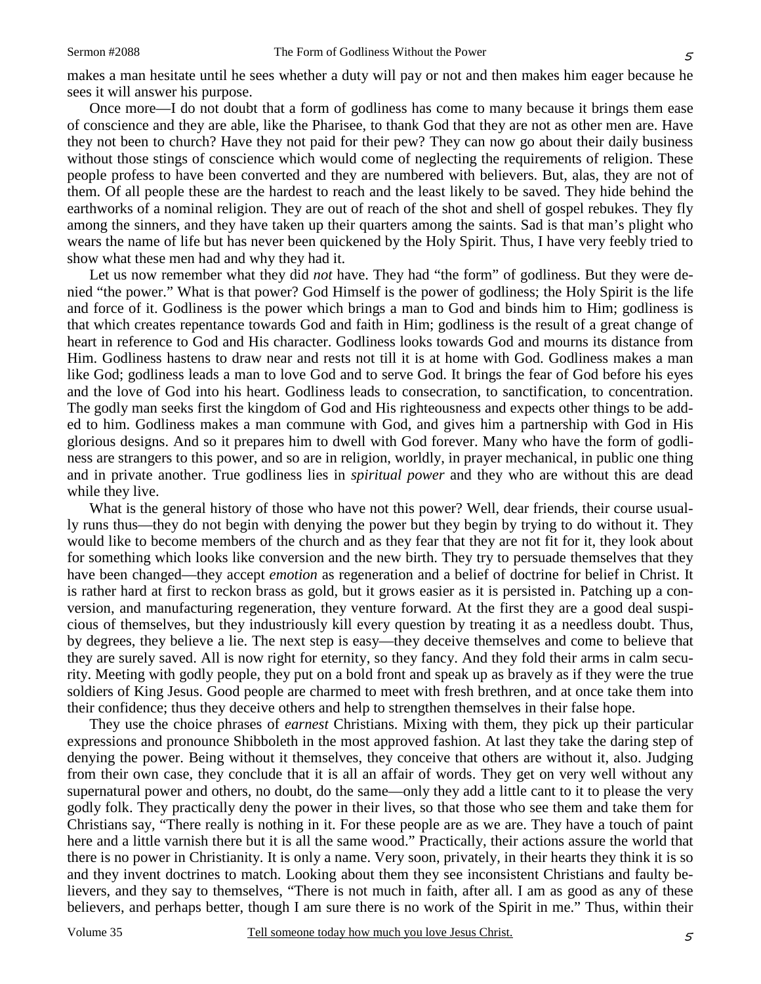makes a man hesitate until he sees whether a duty will pay or not and then makes him eager because he sees it will answer his purpose.

Once more—I do not doubt that a form of godliness has come to many because it brings them ease of conscience and they are able, like the Pharisee, to thank God that they are not as other men are. Have they not been to church? Have they not paid for their pew? They can now go about their daily business without those stings of conscience which would come of neglecting the requirements of religion. These people profess to have been converted and they are numbered with believers. But, alas, they are not of them. Of all people these are the hardest to reach and the least likely to be saved. They hide behind the earthworks of a nominal religion. They are out of reach of the shot and shell of gospel rebukes. They fly among the sinners, and they have taken up their quarters among the saints. Sad is that man's plight who wears the name of life but has never been quickened by the Holy Spirit. Thus, I have very feebly tried to show what these men had and why they had it.

Let us now remember what they did *not* have. They had "the form" of godliness. But they were denied "the power." What is that power? God Himself is the power of godliness; the Holy Spirit is the life and force of it. Godliness is the power which brings a man to God and binds him to Him; godliness is that which creates repentance towards God and faith in Him; godliness is the result of a great change of heart in reference to God and His character. Godliness looks towards God and mourns its distance from Him. Godliness hastens to draw near and rests not till it is at home with God. Godliness makes a man like God; godliness leads a man to love God and to serve God. It brings the fear of God before his eyes and the love of God into his heart. Godliness leads to consecration, to sanctification, to concentration. The godly man seeks first the kingdom of God and His righteousness and expects other things to be added to him. Godliness makes a man commune with God, and gives him a partnership with God in His glorious designs. And so it prepares him to dwell with God forever. Many who have the form of godliness are strangers to this power, and so are in religion, worldly, in prayer mechanical, in public one thing and in private another. True godliness lies in *spiritual power* and they who are without this are dead while they live.

What is the general history of those who have not this power? Well, dear friends, their course usually runs thus—they do not begin with denying the power but they begin by trying to do without it. They would like to become members of the church and as they fear that they are not fit for it, they look about for something which looks like conversion and the new birth. They try to persuade themselves that they have been changed—they accept *emotion* as regeneration and a belief of doctrine for belief in Christ. It is rather hard at first to reckon brass as gold, but it grows easier as it is persisted in. Patching up a conversion, and manufacturing regeneration, they venture forward. At the first they are a good deal suspicious of themselves, but they industriously kill every question by treating it as a needless doubt. Thus, by degrees, they believe a lie. The next step is easy—they deceive themselves and come to believe that they are surely saved. All is now right for eternity, so they fancy. And they fold their arms in calm security. Meeting with godly people, they put on a bold front and speak up as bravely as if they were the true soldiers of King Jesus. Good people are charmed to meet with fresh brethren, and at once take them into their confidence; thus they deceive others and help to strengthen themselves in their false hope.

They use the choice phrases of *earnest* Christians. Mixing with them, they pick up their particular expressions and pronounce Shibboleth in the most approved fashion. At last they take the daring step of denying the power. Being without it themselves, they conceive that others are without it, also. Judging from their own case, they conclude that it is all an affair of words. They get on very well without any supernatural power and others, no doubt, do the same—only they add a little cant to it to please the very godly folk. They practically deny the power in their lives, so that those who see them and take them for Christians say, "There really is nothing in it. For these people are as we are. They have a touch of paint here and a little varnish there but it is all the same wood." Practically, their actions assure the world that there is no power in Christianity. It is only a name. Very soon, privately, in their hearts they think it is so and they invent doctrines to match. Looking about them they see inconsistent Christians and faulty believers, and they say to themselves, "There is not much in faith, after all. I am as good as any of these believers, and perhaps better, though I am sure there is no work of the Spirit in me." Thus, within their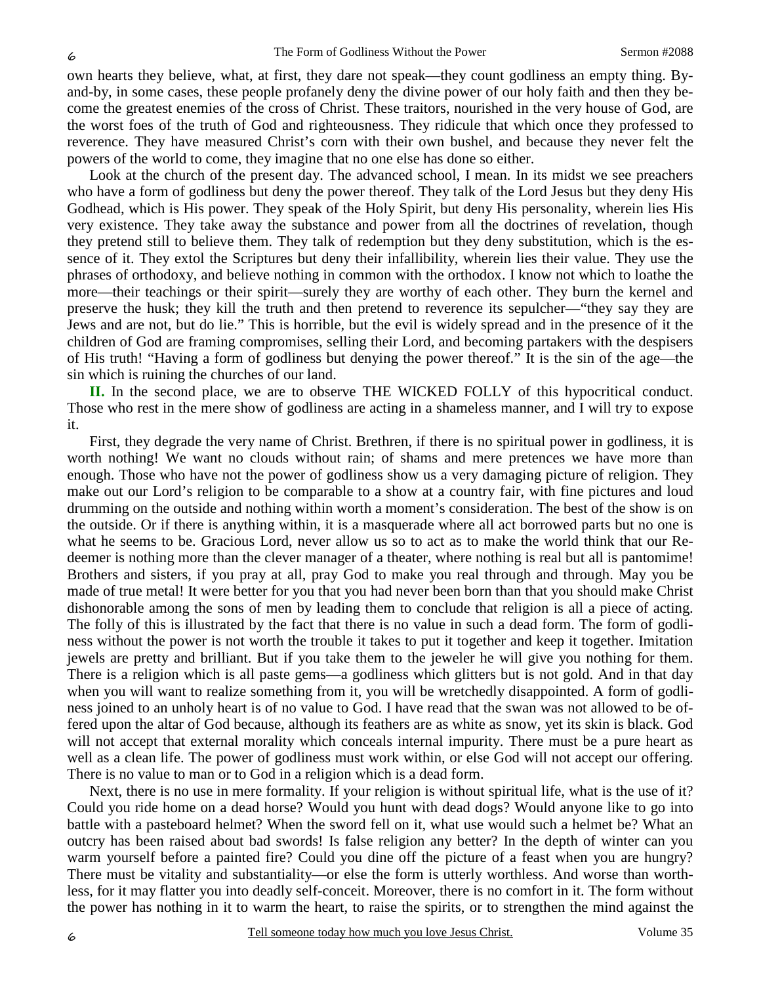own hearts they believe, what, at first, they dare not speak—they count godliness an empty thing. Byand-by, in some cases, these people profanely deny the divine power of our holy faith and then they become the greatest enemies of the cross of Christ. These traitors, nourished in the very house of God, are the worst foes of the truth of God and righteousness. They ridicule that which once they professed to reverence. They have measured Christ's corn with their own bushel, and because they never felt the powers of the world to come, they imagine that no one else has done so either.

Look at the church of the present day. The advanced school, I mean. In its midst we see preachers who have a form of godliness but deny the power thereof. They talk of the Lord Jesus but they deny His Godhead, which is His power. They speak of the Holy Spirit, but deny His personality, wherein lies His very existence. They take away the substance and power from all the doctrines of revelation, though they pretend still to believe them. They talk of redemption but they deny substitution, which is the essence of it. They extol the Scriptures but deny their infallibility, wherein lies their value. They use the phrases of orthodoxy, and believe nothing in common with the orthodox. I know not which to loathe the more—their teachings or their spirit—surely they are worthy of each other. They burn the kernel and preserve the husk; they kill the truth and then pretend to reverence its sepulcher—"they say they are Jews and are not, but do lie." This is horrible, but the evil is widely spread and in the presence of it the children of God are framing compromises, selling their Lord, and becoming partakers with the despisers of His truth! "Having a form of godliness but denying the power thereof." It is the sin of the age—the sin which is ruining the churches of our land.

**II.** In the second place, we are to observe THE WICKED FOLLY of this hypocritical conduct. Those who rest in the mere show of godliness are acting in a shameless manner, and I will try to expose it.

First, they degrade the very name of Christ. Brethren, if there is no spiritual power in godliness, it is worth nothing! We want no clouds without rain; of shams and mere pretences we have more than enough. Those who have not the power of godliness show us a very damaging picture of religion. They make out our Lord's religion to be comparable to a show at a country fair, with fine pictures and loud drumming on the outside and nothing within worth a moment's consideration. The best of the show is on the outside. Or if there is anything within, it is a masquerade where all act borrowed parts but no one is what he seems to be. Gracious Lord, never allow us so to act as to make the world think that our Redeemer is nothing more than the clever manager of a theater, where nothing is real but all is pantomime! Brothers and sisters, if you pray at all, pray God to make you real through and through. May you be made of true metal! It were better for you that you had never been born than that you should make Christ dishonorable among the sons of men by leading them to conclude that religion is all a piece of acting. The folly of this is illustrated by the fact that there is no value in such a dead form. The form of godliness without the power is not worth the trouble it takes to put it together and keep it together. Imitation jewels are pretty and brilliant. But if you take them to the jeweler he will give you nothing for them. There is a religion which is all paste gems—a godliness which glitters but is not gold. And in that day when you will want to realize something from it, you will be wretchedly disappointed. A form of godliness joined to an unholy heart is of no value to God. I have read that the swan was not allowed to be offered upon the altar of God because, although its feathers are as white as snow, yet its skin is black. God will not accept that external morality which conceals internal impurity. There must be a pure heart as well as a clean life. The power of godliness must work within, or else God will not accept our offering. There is no value to man or to God in a religion which is a dead form.

Next, there is no use in mere formality. If your religion is without spiritual life, what is the use of it? Could you ride home on a dead horse? Would you hunt with dead dogs? Would anyone like to go into battle with a pasteboard helmet? When the sword fell on it, what use would such a helmet be? What an outcry has been raised about bad swords! Is false religion any better? In the depth of winter can you warm yourself before a painted fire? Could you dine off the picture of a feast when you are hungry? There must be vitality and substantiality—or else the form is utterly worthless. And worse than worthless, for it may flatter you into deadly self-conceit. Moreover, there is no comfort in it. The form without the power has nothing in it to warm the heart, to raise the spirits, or to strengthen the mind against the

6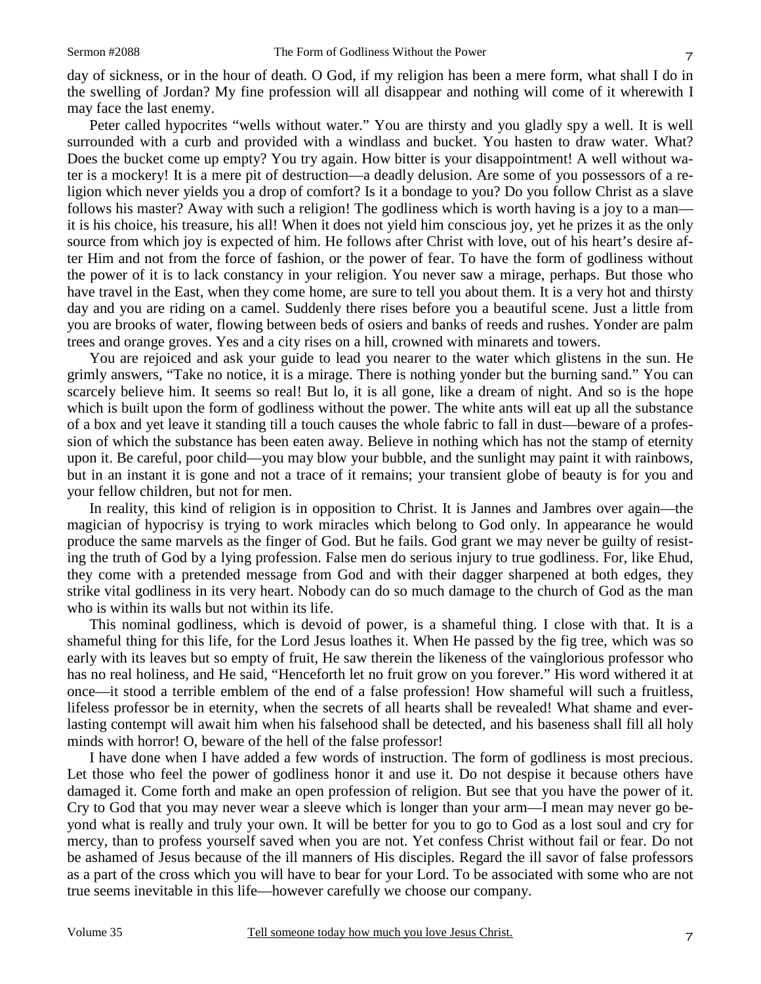day of sickness, or in the hour of death. O God, if my religion has been a mere form, what shall I do in the swelling of Jordan? My fine profession will all disappear and nothing will come of it wherewith I may face the last enemy.

Peter called hypocrites "wells without water." You are thirsty and you gladly spy a well. It is well surrounded with a curb and provided with a windlass and bucket. You hasten to draw water. What? Does the bucket come up empty? You try again. How bitter is your disappointment! A well without water is a mockery! It is a mere pit of destruction—a deadly delusion. Are some of you possessors of a religion which never yields you a drop of comfort? Is it a bondage to you? Do you follow Christ as a slave follows his master? Away with such a religion! The godliness which is worth having is a joy to a man it is his choice, his treasure, his all! When it does not yield him conscious joy, yet he prizes it as the only source from which joy is expected of him. He follows after Christ with love, out of his heart's desire after Him and not from the force of fashion, or the power of fear. To have the form of godliness without the power of it is to lack constancy in your religion. You never saw a mirage, perhaps. But those who have travel in the East, when they come home, are sure to tell you about them. It is a very hot and thirsty day and you are riding on a camel. Suddenly there rises before you a beautiful scene. Just a little from you are brooks of water, flowing between beds of osiers and banks of reeds and rushes. Yonder are palm trees and orange groves. Yes and a city rises on a hill, crowned with minarets and towers.

You are rejoiced and ask your guide to lead you nearer to the water which glistens in the sun. He grimly answers, "Take no notice, it is a mirage. There is nothing yonder but the burning sand." You can scarcely believe him. It seems so real! But lo, it is all gone, like a dream of night. And so is the hope which is built upon the form of godliness without the power. The white ants will eat up all the substance of a box and yet leave it standing till a touch causes the whole fabric to fall in dust—beware of a profession of which the substance has been eaten away. Believe in nothing which has not the stamp of eternity upon it. Be careful, poor child—you may blow your bubble, and the sunlight may paint it with rainbows, but in an instant it is gone and not a trace of it remains; your transient globe of beauty is for you and your fellow children, but not for men.

In reality, this kind of religion is in opposition to Christ. It is Jannes and Jambres over again—the magician of hypocrisy is trying to work miracles which belong to God only. In appearance he would produce the same marvels as the finger of God. But he fails. God grant we may never be guilty of resisting the truth of God by a lying profession. False men do serious injury to true godliness. For, like Ehud, they come with a pretended message from God and with their dagger sharpened at both edges, they strike vital godliness in its very heart. Nobody can do so much damage to the church of God as the man who is within its walls but not within its life.

This nominal godliness, which is devoid of power, is a shameful thing. I close with that. It is a shameful thing for this life, for the Lord Jesus loathes it. When He passed by the fig tree, which was so early with its leaves but so empty of fruit, He saw therein the likeness of the vainglorious professor who has no real holiness, and He said, "Henceforth let no fruit grow on you forever." His word withered it at once—it stood a terrible emblem of the end of a false profession! How shameful will such a fruitless, lifeless professor be in eternity, when the secrets of all hearts shall be revealed! What shame and everlasting contempt will await him when his falsehood shall be detected, and his baseness shall fill all holy minds with horror! O, beware of the hell of the false professor!

I have done when I have added a few words of instruction. The form of godliness is most precious. Let those who feel the power of godliness honor it and use it. Do not despise it because others have damaged it. Come forth and make an open profession of religion. But see that you have the power of it. Cry to God that you may never wear a sleeve which is longer than your arm—I mean may never go beyond what is really and truly your own. It will be better for you to go to God as a lost soul and cry for mercy, than to profess yourself saved when you are not. Yet confess Christ without fail or fear. Do not be ashamed of Jesus because of the ill manners of His disciples. Regard the ill savor of false professors as a part of the cross which you will have to bear for your Lord. To be associated with some who are not true seems inevitable in this life—however carefully we choose our company.